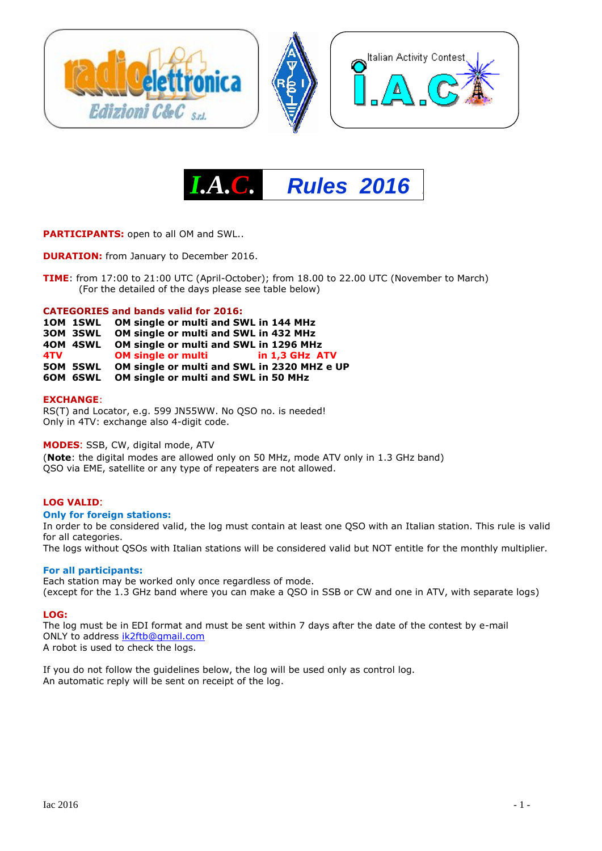



**PARTICIPANTS:** open to all OM and SWL..

**DURATION:** from January to December 2016.

**TIME**: from 17:00 to 21:00 UTC (April-October); from 18.00 to 22.00 UTC (November to March) (For the detailed of the days please see table below)

#### **CATEGORIES and bands valid for 2016:**

**1OM 1SWL OM single or multi and SWL in 144 MHz**

**3OM 3SWL OM single or multi and SWL in 432 MHz**

**4OM 4SWL OM single or multi and SWL in 1296 MHz**

**4TV OM single or multi in 1,3 GHz ATV**

**5OM 5SWL OM single or multi and SWL in 2320 MHZ e UP**

**6OM 6SWL OM single or multi and SWL in 50 MHz**

#### **EXCHANGE**:

RS(T) and Locator, e.g. 599 JN55WW. No QSO no. is needed! Only in 4TV: exchange also 4-digit code.

#### **MODES**: SSB, CW, digital mode, ATV

(**Note**: the digital modes are allowed only on 50 MHz, mode ATV only in 1.3 GHz band) QSO via EME, satellite or any type of repeaters are not allowed.

#### **LOG VALID**:

#### **Only for foreign stations:**

In order to be considered valid, the log must contain at least one QSO with an Italian station. This rule is valid for all categories.

The logs without QSOs with Italian stations will be considered valid but NOT entitle for the monthly multiplier.

#### **For all participants:**

Each station may be worked only once regardless of mode. (except for the 1.3 GHz band where you can make a QSO in SSB or CW and one in ATV, with separate logs)

#### **LOG:**

The log must be in EDI format and must be sent within 7 days after the date of the contest by e-mail ONLY to address [ik2ftb@gmail.com](mailto:ik2ftb@gmail.com) A robot is used to check the logs.

If you do not follow the guidelines below, the log will be used only as control log. An automatic reply will be sent on receipt of the log.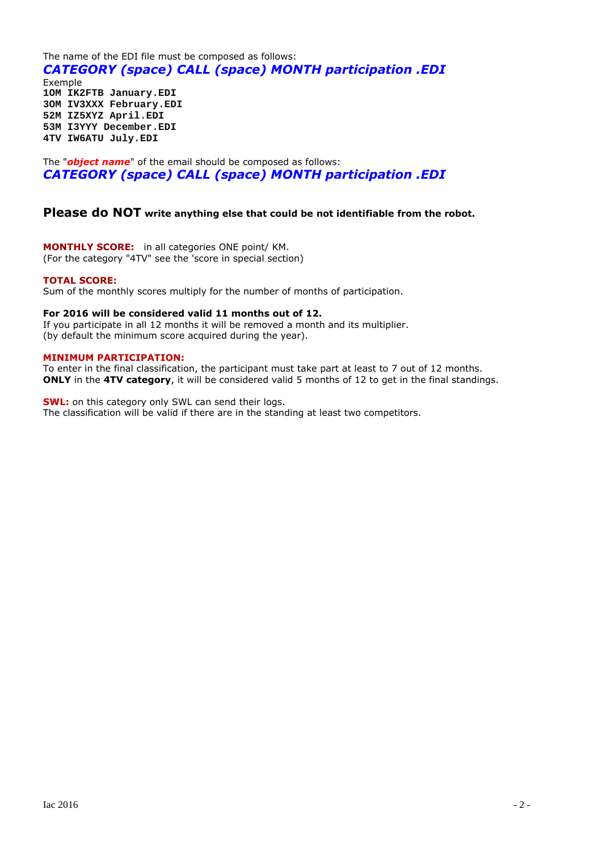The name of the EDI file must be composed as follows: *CATEGORY (space) CALL (space) MONTH participation .EDI* Exemple **1OM IK2FTB January.EDI 3OM IV3XXX February.EDI 52M IZ5XYZ April.EDI 53M I3YYY December.EDI 4TV IW6ATU July.EDI**

The "*object name*" of the email should be composed as follows: *CATEGORY (space) CALL (space) MONTH participation .EDI*

### **Please do NOT write anything else that could be not identifiable from the robot.**

**MONTHLY SCORE:** in all categories ONE point/ KM. (For the category "4TV" see the 'score in special section)

#### **TOTAL SCORE:**

Sum of the monthly scores multiply for the number of months of participation.

#### **For 2016 will be considered valid 11 months out of 12.**

If you participate in all 12 months it will be removed a month and its multiplier. (by default the minimum score acquired during the year).

#### **MINIMUM PARTICIPATION:**

To enter in the final classification, the participant must take part at least to 7 out of 12 months. **ONLY** in the **4TV category**, it will be considered valid 5 months of 12 to get in the final standings.

**SWL:** on this category only SWL can send their logs. The classification will be valid if there are in the standing at least two competitors.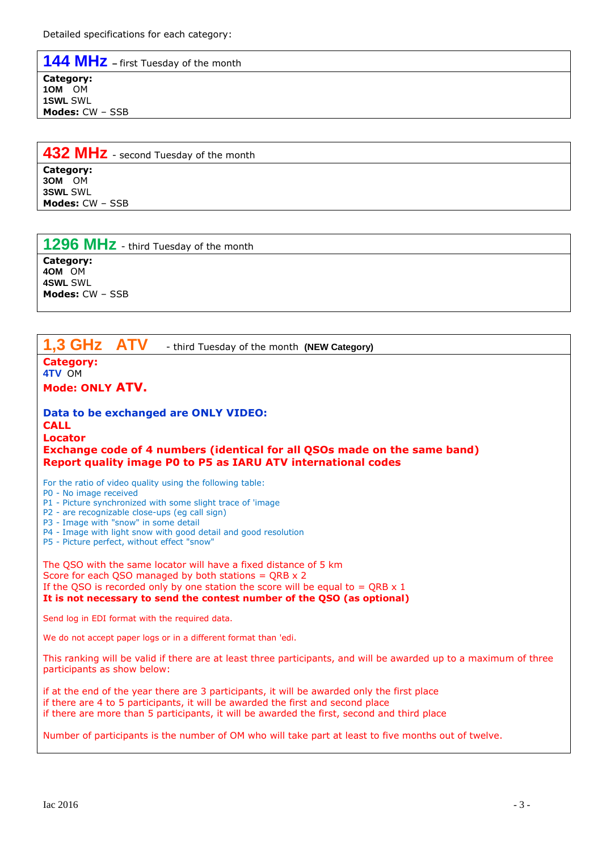**144 MHz –** first Tuesday of the month

**Category: 1OM** OM **1SWL** SWL **Modes:** CW – SSB

**432 MHz** - second Tuesday of the month

**Category: 3OM** OM **3SWL** SWL **Modes:** CW – SSB

**1296 MHz** - third Tuesday of the month

**Category: 4OM** OM **4SWL** SWL **Modes:** CW – SSB

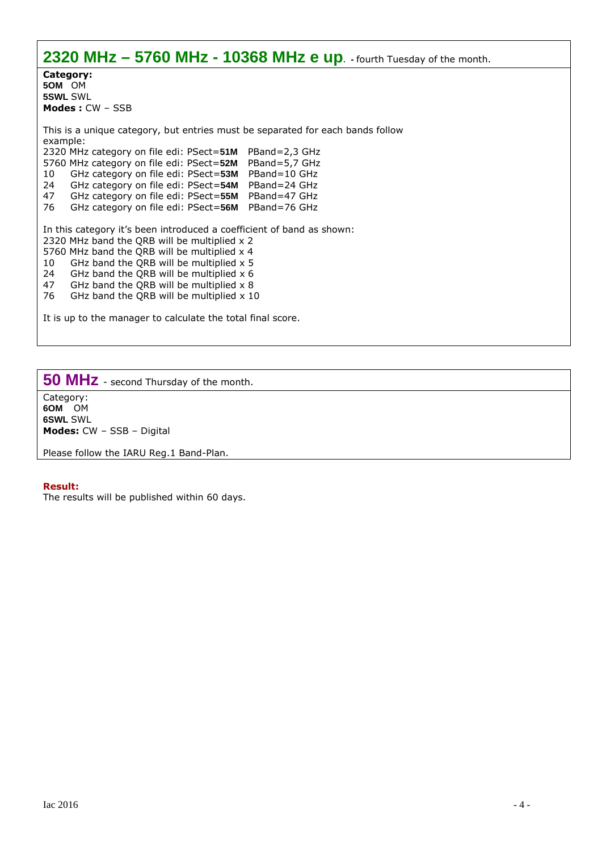**2320 MHz – 5760 MHz - 10368 MHz e up. -** fourth Tuesday of the month. **Category: 5OM** OM **5SWL** SWL **Modes :** CW – SSB This is a unique category, but entries must be separated for each bands follow example: 2320 MHz category on file edi: PSect=**51M** PBand=2,3 GHz 5760 MHz category on file edi: PSect=**52M** PBand=5,7 GHz 10 GHz category on file edi: PSect=**53M** PBand=10 GHz 24 GHz category on file edi: PSect=**54M** PBand=24 GHz 47 GHz category on file edi: PSect=**55M** PBand=47 GHz 76 GHz category on file edi: PSect=**56M** PBand=76 GHz In this category it's been introduced a coefficient of band as shown: 2320 MHz band the QRB will be multiplied x 2 5760 MHz band the QRB will be multiplied x 4 10 GHz band the QRB will be multiplied  $x$  5 24 GHz band the QRB will be multiplied  $x$  6 47 GHz band the QRB will be multiplied  $\times$  8<br>76 GHz band the ORB will be multiplied  $\times$  10 GHz band the QRB will be multiplied  $x$  10 It is up to the manager to calculate the total final score.

**50 MHz** - second Thursday of the month.

Category: **6OM** OM **6SWL** SWL **Modes:** CW – SSB – Digital

Please follow the IARU Reg.1 Band-Plan.

#### **Result:**

The results will be published within 60 days.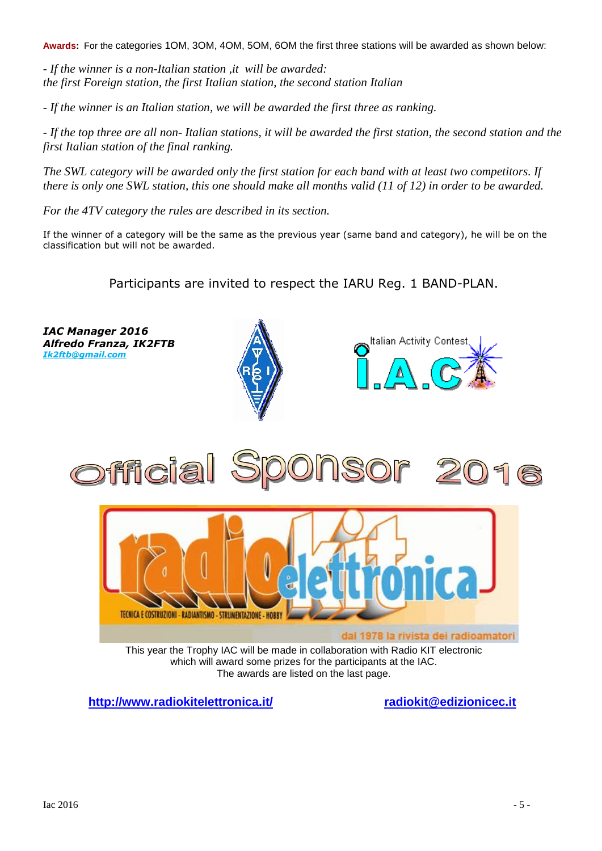**Awards:** For the categories 1OM, 3OM, 4OM, 5OM, 6OM the first three stations will be awarded as shown below:

*- If the winner is a non-Italian station ,it will be awarded: the first Foreign station, the first Italian station, the second station Italian*

*- If the winner is an Italian station, we will be awarded the first three as ranking.*

- If the top three are all non-Italian stations, it will be awarded the first station, the second station and the *first Italian station of the final ranking.*

*The SWL category will be awarded only the first station for each band with at least two competitors. If there is only one SWL station, this one should make all months valid (11 of 12) in order to be awarded.*

*For the 4TV category the rules are described in its section.*

If the winner of a category will be the same as the previous year (same band and category), he will be on the classification but will not be awarded.

Participants are invited to respect the IARU Reg. 1 BAND-PLAN.



**[http://www.radiokitelettron](http://www.radiokitelettronica.it/)i[ca.it/](mailto:radiokit@edizionicec.it) radiokit@edizionicec.it**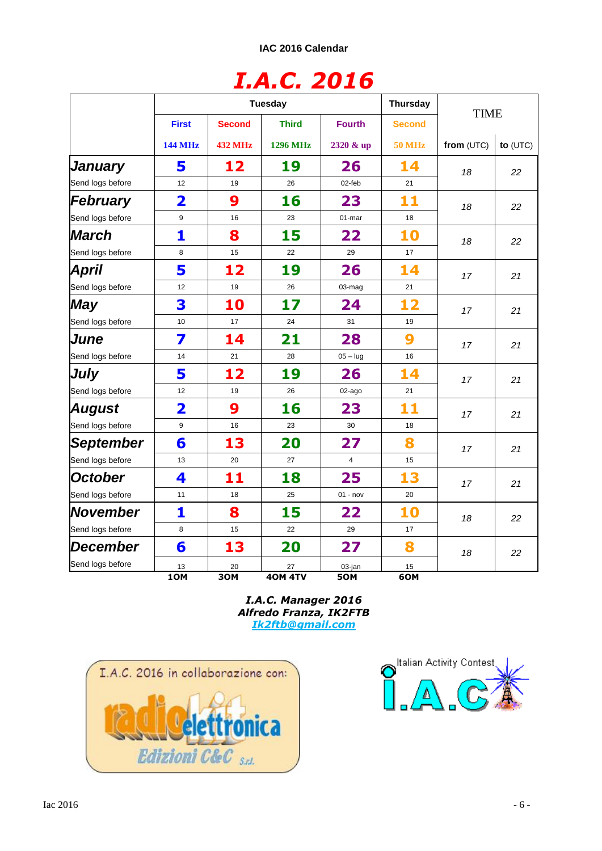# *I.A.C. 2016*

|                              | <b>Tuesday</b>                 |                                 |                                 |                            | Thursday                       |             |            |
|------------------------------|--------------------------------|---------------------------------|---------------------------------|----------------------------|--------------------------------|-------------|------------|
|                              | <b>First</b><br><b>144 MHz</b> | <b>Second</b><br><b>432 MHz</b> | <b>Third</b><br><b>1296 MHz</b> | <b>Fourth</b><br>2320 & up | <b>Second</b><br><b>50 MHz</b> | <b>TIME</b> |            |
|                              |                                |                                 |                                 |                            |                                | from (UTC)  | to $(UTC)$ |
| January                      | 5                              | 12                              | 19                              | 26                         | 14                             | 18          | 22         |
| Send logs before             | 12                             | 19                              | 26                              | 02-feb                     | 21                             |             |            |
| February                     | $\overline{\mathbf{2}}$        | 9                               | 16                              | 23                         | 11                             | 18          | 22         |
| Send logs before             | 9                              | 16                              | 23                              | 01-mar                     | 18                             |             |            |
| March                        | 1                              | 8                               | 15                              | 22                         | 10                             | 18          | 22         |
| Send logs before             | 8                              | 15                              | 22                              | 29                         | 17                             |             |            |
| April                        | 5                              | 12                              | 19                              | 26                         | 14                             | 17          | 21         |
| Send logs before             | 12                             | 19                              | 26                              | 03-mag                     | 21                             |             |            |
| <b>May</b>                   | 3                              | 10                              | 17                              | 24                         | 12                             | 17          | 21         |
| Send logs before             | 10                             | 17                              | 24                              | 31                         | 19                             |             |            |
| June                         | 7                              | 14                              | 21                              | 28                         | 9                              | 17          | 21         |
| Send logs before             | 14                             | 21                              | 28                              | $05 -$ lug                 | 16                             |             |            |
| July                         | 5                              | 12                              | 19                              | 26                         | 14                             | 17          | 21         |
| Send logs before             | 12                             | 19                              | 26                              | 02-ago                     | 21                             |             |            |
| <b>August</b>                | 2                              | 9                               | 16                              | 23                         | 11                             | 17          | 21         |
| Send logs before             | 9                              | 16                              | 23                              | 30                         | 18                             |             |            |
| <b>September</b>             | 6                              | 13                              | 20                              | 27                         | 8                              | 17          | 21         |
| Send logs before             | 13                             | 20                              | 27                              | $\overline{4}$             | 15                             |             |            |
| <b>October</b>               | 4                              | 11                              | 18                              | 25                         | 13                             | 17          | 21         |
| Send logs before             | 11                             | 18                              | 25                              | $01 - nov$                 | 20                             |             |            |
| <b>November</b>              | 1                              | 8                               | 15                              | 22                         | 10                             | 18          | 22         |
| Send logs before             | 8                              | 15                              | 22                              | 29                         | 17                             |             |            |
| December<br>Send logs before | 6                              | 13                              | 20                              | 27                         | 8                              | 18          | 22         |
|                              | 13                             | 20                              | 27                              | 03-jan                     | 15                             |             |            |
|                              | 10M                            | 30M                             | <b>40M 4TV</b>                  | 50M                        | 6OM                            |             |            |

*I.A.C. Manager 2016 Alfredo Franza, IK2FTB [Ik2ftb@gmail.com](mailto:Ik2ftb@gmail.com)*



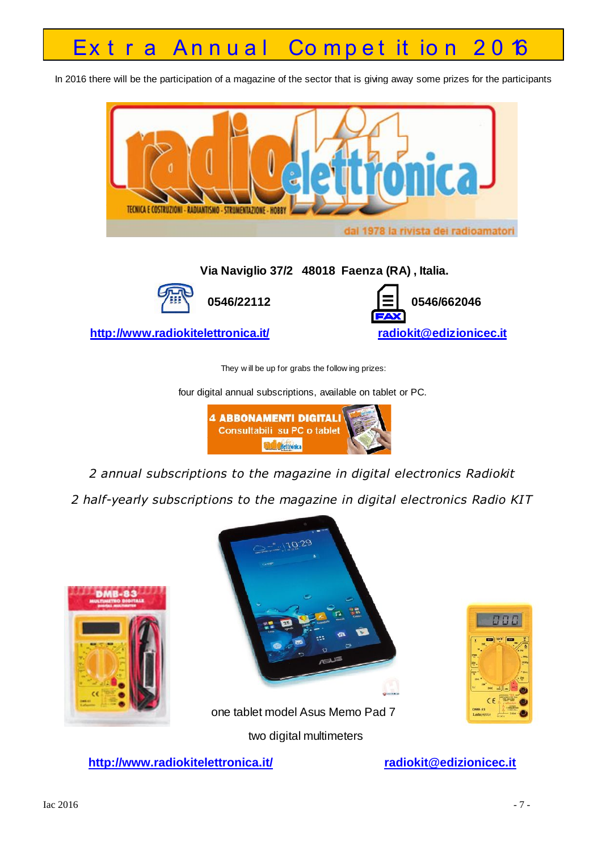# Extra Annual Competition 2016

In 2016 there will be the participation of a magazine of the sector that is giving away some prizes for the participants



They w ill be up for grabs the follow ing prizes:

four digital annual subscriptions, available on tablet or PC.



*2 annual subscriptions to the magazine in digital electronics Radiokit*

*2 half-yearly subscriptions to the magazine in digital electronics Radio KIT*





one tablet model Asus Memo Pad 7

two digital multimeters

**[http://www.radiokitelettron](http://www.radiokitelettronica.it/)i[ca.it/](mailto:radiokit@edizionicec.it) radiokit@edizionicec.it**